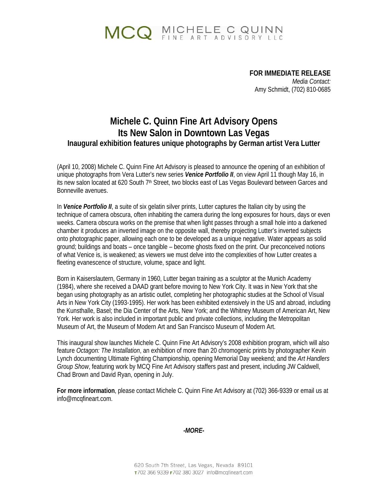# MCQ MICHELE C QUINN

 **FOR IMMEDIATE RELEASE**  *Media Contact:*  Amy Schmidt, (702) 810-0685

### **Michele C. Quinn Fine Art Advisory Opens Its New Salon in Downtown Las Vegas Inaugural exhibition features unique photographs by German artist Vera Lutter**

(April 10, 2008) Michele C. Quinn Fine Art Advisory is pleased to announce the opening of an exhibition of unique photographs from Vera Lutter's new series *Venice Portfolio II*, on view April 11 though May 16, in its new salon located at 620 South 7<sup>th</sup> Street, two blocks east of Las Vegas Boulevard between Garces and Bonneville avenues.

In *Venice Portfolio II*, a suite of six gelatin silver prints, Lutter captures the Italian city by using the technique of camera obscura, often inhabiting the camera during the long exposures for hours, days or even weeks. Camera obscura works on the premise that when light passes through a small hole into a darkened chamber it produces an inverted image on the opposite wall, thereby projecting Lutter's inverted subjects onto photographic paper, allowing each one to be developed as a unique negative. Water appears as solid ground; buildings and boats – once tangible – become ghosts fixed on the print. Our preconceived notions of what Venice is, is weakened; as viewers we must delve into the complexities of how Lutter creates a fleeting evanescence of structure, volume, space and light.

Born in Kaiserslautern, Germany in 1960, Lutter began training as a sculptor at the Munich Academy (1984), where she received a DAAD grant before moving to New York City. It was in New York that she began using photography as an artistic outlet, completing her photographic studies at the School of Visual Arts in New York City (1993-1995). Her work has been exhibited extensively in the US and abroad, including the Kunsthalle, Basel; the Dia Center of the Arts, New York; and the Whitney Museum of American Art, New York. Her work is also included in important public and private collections, including the Metropolitan Museum of Art, the Museum of Modern Art and San Francisco Museum of Modern Art.

This inaugural show launches Michele C. Quinn Fine Art Advisory's 2008 exhibition program, which will also feature *Octagon: The Installation*, an exhibition of more than 20 chromogenic prints by photographer Kevin Lynch documenting Ultimate Fighting Championship, opening Memorial Day weekend; and the *Art Handlers Group Show*, featuring work by MCQ Fine Art Advisory staffers past and present, including JW Caldwell, Chad Brown and David Ryan, opening in July.

**For more information**, please contact Michele C. Quinn Fine Art Advisory at (702) 366-9339 or email us at info@mcqfineart.com.

*-MORE-*